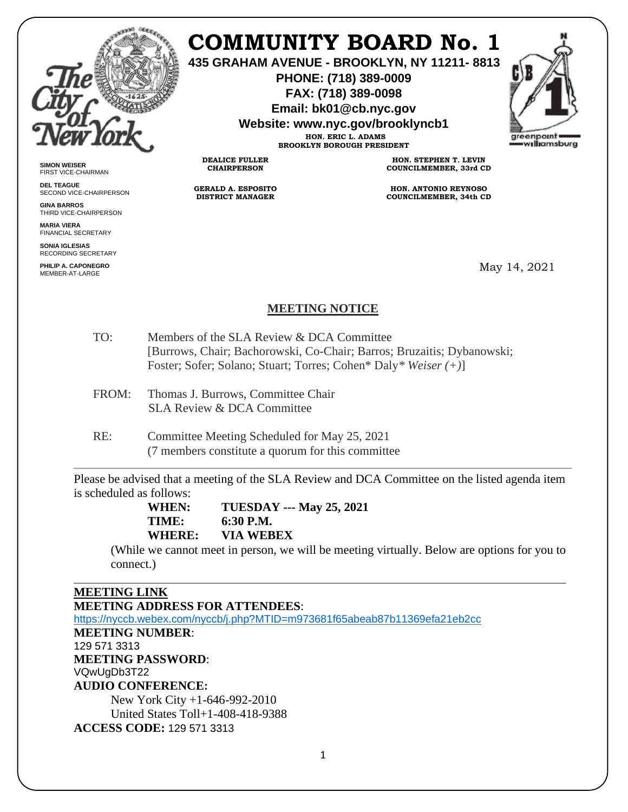

# **COMMUNITY BOARD No. 1**

**435 GRAHAM AVENUE - BROOKLYN, NY 11211- 8813**

**PHONE: (718) 389-0009 FAX: (718) 389-0098**

**Email: bk01@cb.nyc.gov**

**Website: www.nyc.gov/brooklyncb1**

**HON. ERIC L. ADAMS BROOKLYN BOROUGH PRESIDENT**



**SIMON WEISER** FIRST VICE-CHAIRMAN

**DEL TEAGUE** SECOND VICE-CHAIRPERSON

**GINA BARROS** THIRD VICE-CHAIRPERSON

**MARIA VIERA** FINANCIAL SECRETARY

**SONIA IGLESIAS** RECORDING SECRETARY

**PHILIP A. CAPONEGRO** MEMBER-AT-LARGE

**HON. STEPHEN T. LEVIN COUNCILMEMBER, 33rd CD**

**HON. ANTONIO REYNOSO COUNCILMEMBER, 34th CD**

May 14, 2021

# **MEETING NOTICE**

- TO: Members of the SLA Review & DCA Committee [Burrows, Chair; Bachorowski, Co-Chair; Barros; Bruzaitis; Dybanowski; Foster; Sofer; Solano; Stuart; Torres; Cohen\* Daly*\* Weiser (+)*]
- FROM: Thomas J. Burrows, Committee Chair SLA Review & DCA Committee
- RE: Committee Meeting Scheduled for May 25, 2021 (7 members constitute a quorum for this committee

**DEALICE FULLER CHAIRPERSON**

**GERALD A. ESPOSITO DISTRICT MANAGER**

Please be advised that a meeting of the SLA Review and DCA Committee on the listed agenda item is scheduled as follows:

\_\_\_\_\_\_\_\_\_\_\_\_\_\_\_\_\_\_\_\_\_\_\_\_\_\_\_\_\_\_\_\_\_\_\_\_\_\_\_\_\_\_\_\_\_\_\_\_\_\_\_\_\_\_\_\_\_\_\_\_\_\_\_\_\_\_\_\_\_\_\_\_\_\_\_\_\_\_\_\_

**WHEN: TUESDAY --- May 25, 2021 TIME: 6:30 P.M. WHERE: VIA WEBEX**

(While we cannot meet in person, we will be meeting virtually. Below are options for you to connect.)

**MEETING LINK MEETING ADDRESS FOR ATTENDEES**: <https://nyccb.webex.com/nyccb/j.php?MTID=m973681f65abeab87b11369efa21eb2cc> **MEETING NUMBER**: 129 571 3313 **MEETING PASSWORD**: VQwUgDb3T22 **AUDIO CONFERENCE:** New York City +1-646-992-2010 United States Toll+1-408-418-9388 **ACCESS CODE:** 129 571 3313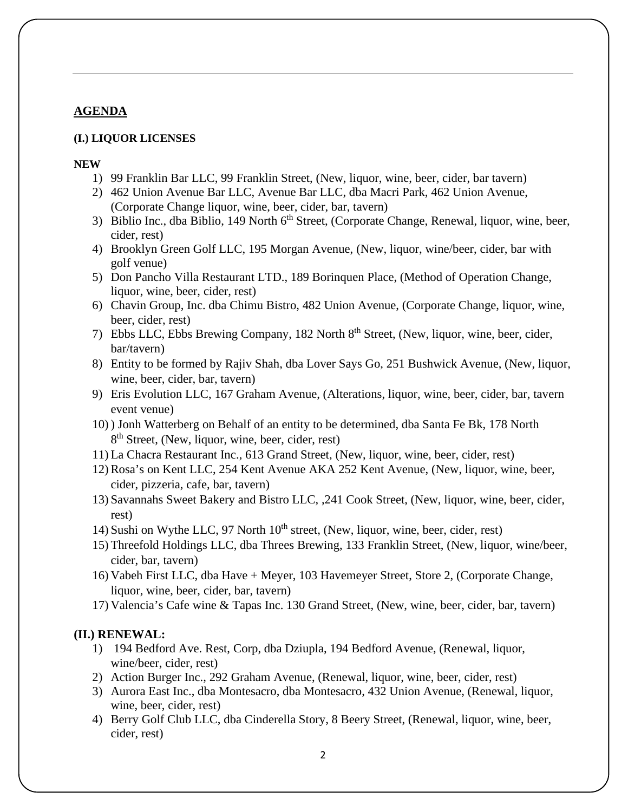## **AGENDA**

#### **(I.) LIQUOR LICENSES**

#### **NEW**

- 1) 99 Franklin Bar LLC, 99 Franklin Street, (New, liquor, wine, beer, cider, bar tavern)
- 2) 462 Union Avenue Bar LLC, Avenue Bar LLC, dba Macri Park, 462 Union Avenue, (Corporate Change liquor, wine, beer, cider, bar, tavern)
- 3) Biblio Inc., dba Biblio, 149 North 6<sup>th</sup> Street, (Corporate Change, Renewal, liquor, wine, beer, cider, rest)
- 4) Brooklyn Green Golf LLC, 195 Morgan Avenue, (New, liquor, wine/beer, cider, bar with golf venue)
- 5) Don Pancho Villa Restaurant LTD., 189 Borinquen Place, (Method of Operation Change, liquor, wine, beer, cider, rest)
- 6) Chavin Group, Inc. dba Chimu Bistro, 482 Union Avenue, (Corporate Change, liquor, wine, beer, cider, rest)
- 7) Ebbs LLC, Ebbs Brewing Company, 182 North 8th Street, (New, liquor, wine, beer, cider, bar/tavern)
- 8) Entity to be formed by Rajiv Shah, dba Lover Says Go, 251 Bushwick Avenue, (New, liquor, wine, beer, cider, bar, tavern)
- 9) Eris Evolution LLC, 167 Graham Avenue, (Alterations, liquor, wine, beer, cider, bar, tavern event venue)
- 10) ) Jonh Watterberg on Behalf of an entity to be determined, dba Santa Fe Bk, 178 North 8<sup>th</sup> Street, (New, liquor, wine, beer, cider, rest)
- 11) La Chacra Restaurant Inc., 613 Grand Street, (New, liquor, wine, beer, cider, rest)
- 12) Rosa's on Kent LLC, 254 Kent Avenue AKA 252 Kent Avenue, (New, liquor, wine, beer, cider, pizzeria, cafe, bar, tavern)
- 13) Savannahs Sweet Bakery and Bistro LLC, ,241 Cook Street, (New, liquor, wine, beer, cider, rest)
- 14) Sushi on Wythe LLC, 97 North  $10^{th}$  street, (New, liquor, wine, beer, cider, rest)
- 15) Threefold Holdings LLC, dba Threes Brewing, 133 Franklin Street, (New, liquor, wine/beer, cider, bar, tavern)
- 16) Vabeh First LLC, dba Have + Meyer, 103 Havemeyer Street, Store 2, (Corporate Change, liquor, wine, beer, cider, bar, tavern)
- 17) Valencia's Cafe wine & Tapas Inc. 130 Grand Street, (New, wine, beer, cider, bar, tavern)

#### **(II.) RENEWAL:**

- 1) 194 Bedford Ave. Rest, Corp, dba Dziupla, 194 Bedford Avenue, (Renewal, liquor, wine/beer, cider, rest)
- 2) Action Burger Inc., 292 Graham Avenue, (Renewal, liquor, wine, beer, cider, rest)
- 3) Aurora East Inc., dba Montesacro, dba Montesacro, 432 Union Avenue, (Renewal, liquor, wine, beer, cider, rest)
- 4) Berry Golf Club LLC, dba Cinderella Story, 8 Beery Street, (Renewal, liquor, wine, beer, cider, rest)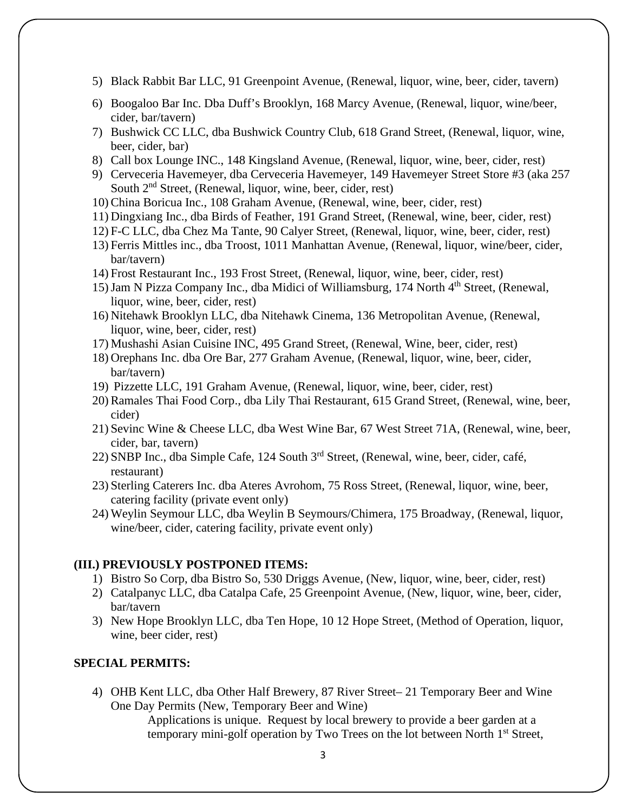- 5) Black Rabbit Bar LLC, 91 Greenpoint Avenue, (Renewal, liquor, wine, beer, cider, tavern)
- 6) Boogaloo Bar Inc. Dba Duff's Brooklyn, 168 Marcy Avenue, (Renewal, liquor, wine/beer, cider, bar/tavern)
- 7) Bushwick CC LLC, dba Bushwick Country Club, 618 Grand Street, (Renewal, liquor, wine, beer, cider, bar)
- 8) Call box Lounge INC., 148 Kingsland Avenue, (Renewal, liquor, wine, beer, cider, rest)
- 9) Cerveceria Havemeyer, dba Cerveceria Havemeyer, 149 Havemeyer Street Store #3 (aka 257 South 2<sup>nd</sup> Street, (Renewal, liquor, wine, beer, cider, rest)
- 10) China Boricua Inc., 108 Graham Avenue, (Renewal, wine, beer, cider, rest)
- 11) Dingxiang Inc., dba Birds of Feather, 191 Grand Street, (Renewal, wine, beer, cider, rest)
- 12) F-C LLC, dba Chez Ma Tante, 90 Calyer Street, (Renewal, liquor, wine, beer, cider, rest)
- 13) Ferris Mittles inc., dba Troost, 1011 Manhattan Avenue, (Renewal, liquor, wine/beer, cider, bar/tavern)
- 14) Frost Restaurant Inc., 193 Frost Street, (Renewal, liquor, wine, beer, cider, rest)
- 15) Jam N Pizza Company Inc., dba Midici of Williamsburg, 174 North 4<sup>th</sup> Street, (Renewal, liquor, wine, beer, cider, rest)
- 16) Nitehawk Brooklyn LLC, dba Nitehawk Cinema, 136 Metropolitan Avenue, (Renewal, liquor, wine, beer, cider, rest)
- 17) Mushashi Asian Cuisine INC, 495 Grand Street, (Renewal, Wine, beer, cider, rest)
- 18) Orephans Inc. dba Ore Bar, 277 Graham Avenue, (Renewal, liquor, wine, beer, cider, bar/tavern)
- 19) Pizzette LLC, 191 Graham Avenue, (Renewal, liquor, wine, beer, cider, rest)
- 20) Ramales Thai Food Corp., dba Lily Thai Restaurant, 615 Grand Street, (Renewal, wine, beer, cider)
- 21) Sevinc Wine & Cheese LLC, dba West Wine Bar, 67 West Street 71A, (Renewal, wine, beer, cider, bar, tavern)
- 22) SNBP Inc., dba Simple Cafe, 124 South 3<sup>rd</sup> Street, (Renewal, wine, beer, cider, café, restaurant)
- 23) Sterling Caterers Inc. dba Ateres Avrohom, 75 Ross Street, (Renewal, liquor, wine, beer, catering facility (private event only)
- 24) Weylin Seymour LLC, dba Weylin B Seymours/Chimera, 175 Broadway, (Renewal, liquor, wine/beer, cider, catering facility, private event only)

#### **(III.) PREVIOUSLY POSTPONED ITEMS:**

- 1) Bistro So Corp, dba Bistro So, 530 Driggs Avenue, (New, liquor, wine, beer, cider, rest)
- 2) Catalpanyc LLC, dba Catalpa Cafe, 25 Greenpoint Avenue, (New, liquor, wine, beer, cider, bar/tavern
- 3) New Hope Brooklyn LLC, dba Ten Hope, 10 12 Hope Street, (Method of Operation, liquor, wine, beer cider, rest)

### **SPECIAL PERMITS:**

4) OHB Kent LLC, dba Other Half Brewery, 87 River Street– 21 Temporary Beer and Wine One Day Permits (New, Temporary Beer and Wine)

> Applications is unique. Request by local brewery to provide a beer garden at a temporary mini-golf operation by Two Trees on the lot between North  $1<sup>st</sup>$  Street,